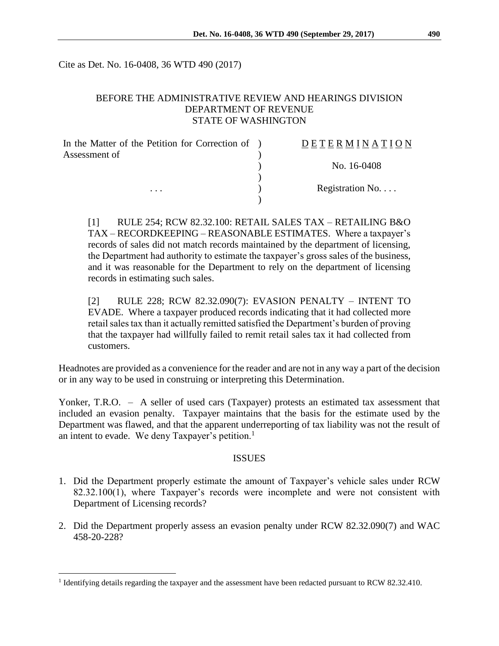Cite as Det. No. 16-0408, 36 WTD 490 (2017)

#### BEFORE THE ADMINISTRATIVE REVIEW AND HEARINGS DIVISION DEPARTMENT OF REVENUE STATE OF WASHINGTON

| In the Matter of the Petition for Correction of ) | DETERMINATION            |
|---------------------------------------------------|--------------------------|
| Assessment of                                     | No. 16-0408              |
| $\cdots$                                          |                          |
|                                                   | Registration No. $\dots$ |
|                                                   |                          |

[1] RULE 254; RCW 82.32.100: RETAIL SALES TAX – RETAILING B&O TAX – RECORDKEEPING – REASONABLE ESTIMATES. Where a taxpayer's records of sales did not match records maintained by the department of licensing, the Department had authority to estimate the taxpayer's gross sales of the business, and it was reasonable for the Department to rely on the department of licensing records in estimating such sales.

[2] RULE 228; RCW 82.32.090(7): EVASION PENALTY – INTENT TO EVADE. Where a taxpayer produced records indicating that it had collected more retail sales tax than it actually remitted satisfied the Department's burden of proving that the taxpayer had willfully failed to remit retail sales tax it had collected from customers.

Headnotes are provided as a convenience for the reader and are not in any way a part of the decision or in any way to be used in construing or interpreting this Determination.

Yonker, T.R.O. - A seller of used cars (Taxpayer) protests an estimated tax assessment that included an evasion penalty. Taxpayer maintains that the basis for the estimate used by the Department was flawed, and that the apparent underreporting of tax liability was not the result of an intent to evade. We deny Taxpayer's petition.<sup>1</sup>

#### ISSUES

- 1. Did the Department properly estimate the amount of Taxpayer's vehicle sales under RCW 82.32.100(1), where Taxpayer's records were incomplete and were not consistent with Department of Licensing records?
- 2. Did the Department properly assess an evasion penalty under RCW 82.32.090(7) and WAC 458-20-228?

 $\overline{a}$ 

<sup>&</sup>lt;sup>1</sup> Identifying details regarding the taxpayer and the assessment have been redacted pursuant to RCW 82.32.410.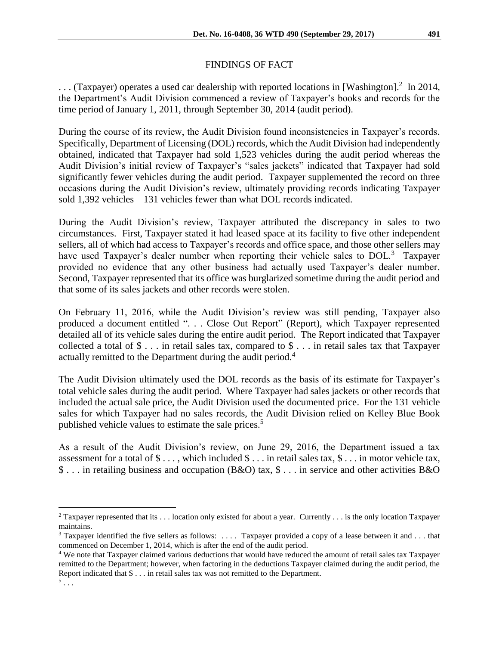## FINDINGS OF FACT

 $\ldots$  (Taxpayer) operates a used car dealership with reported locations in [Washington].<sup>2</sup> In 2014, the Department's Audit Division commenced a review of Taxpayer's books and records for the time period of January 1, 2011, through September 30, 2014 (audit period).

During the course of its review, the Audit Division found inconsistencies in Taxpayer's records. Specifically, Department of Licensing (DOL) records, which the Audit Division had independently obtained, indicated that Taxpayer had sold 1,523 vehicles during the audit period whereas the Audit Division's initial review of Taxpayer's "sales jackets" indicated that Taxpayer had sold significantly fewer vehicles during the audit period. Taxpayer supplemented the record on three occasions during the Audit Division's review, ultimately providing records indicating Taxpayer sold 1,392 vehicles – 131 vehicles fewer than what DOL records indicated.

During the Audit Division's review, Taxpayer attributed the discrepancy in sales to two circumstances. First, Taxpayer stated it had leased space at its facility to five other independent sellers, all of which had access to Taxpayer's records and office space, and those other sellers may have used Taxpayer's dealer number when reporting their vehicle sales to DOL.<sup>3</sup> Taxpayer provided no evidence that any other business had actually used Taxpayer's dealer number. Second, Taxpayer represented that its office was burglarized sometime during the audit period and that some of its sales jackets and other records were stolen.

On February 11, 2016, while the Audit Division's review was still pending, Taxpayer also produced a document entitled ". . . Close Out Report" (Report), which Taxpayer represented detailed all of its vehicle sales during the entire audit period. The Report indicated that Taxpayer collected a total of \$ . . . in retail sales tax, compared to \$ . . . in retail sales tax that Taxpayer actually remitted to the Department during the audit period.<sup>4</sup>

The Audit Division ultimately used the DOL records as the basis of its estimate for Taxpayer's total vehicle sales during the audit period. Where Taxpayer had sales jackets or other records that included the actual sale price, the Audit Division used the documented price. For the 131 vehicle sales for which Taxpayer had no sales records, the Audit Division relied on Kelley Blue Book published vehicle values to estimate the sale prices. 5

As a result of the Audit Division's review, on June 29, 2016, the Department issued a tax assessment for a total of  $\$\ldots$ , which included  $\$\ldots$  in retail sales tax,  $\$\ldots$  in motor vehicle tax, \$ . . . in retailing business and occupation (B&O) tax, \$ . . . in service and other activities B&O

 $\overline{a}$ 

<sup>&</sup>lt;sup>2</sup> Taxpayer represented that its . . . location only existed for about a year. Currently . . . is the only location Taxpayer maintains.

<sup>&</sup>lt;sup>3</sup> Taxpayer identified the five sellers as follows: .... Taxpayer provided a copy of a lease between it and ... that commenced on December 1, 2014, which is after the end of the audit period.

<sup>4</sup> We note that Taxpayer claimed various deductions that would have reduced the amount of retail sales tax Taxpayer remitted to the Department; however, when factoring in the deductions Taxpayer claimed during the audit period, the Report indicated that \$ . . . in retail sales tax was not remitted to the Department.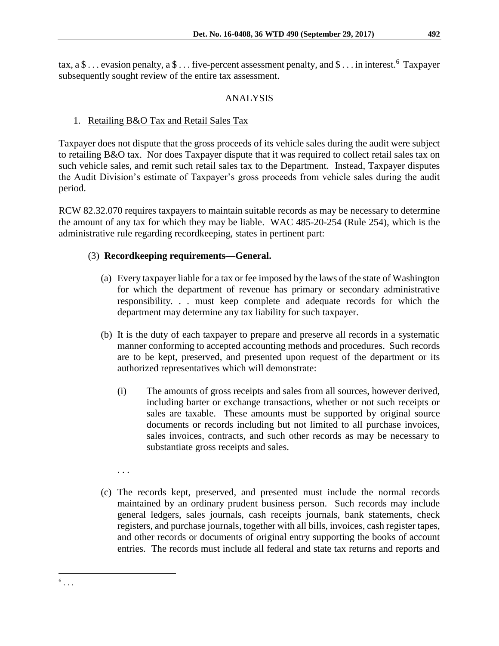tax, a \$ ... evasion penalty, a \$ ... five-percent assessment penalty, and \$ ... in interest.<sup>6</sup> Taxpayer subsequently sought review of the entire tax assessment.

### ANALYSIS

### 1. Retailing B&O Tax and Retail Sales Tax

Taxpayer does not dispute that the gross proceeds of its vehicle sales during the audit were subject to retailing B&O tax. Nor does Taxpayer dispute that it was required to collect retail sales tax on such vehicle sales, and remit such retail sales tax to the Department. Instead, Taxpayer disputes the Audit Division's estimate of Taxpayer's gross proceeds from vehicle sales during the audit period.

RCW 82.32.070 requires taxpayers to maintain suitable records as may be necessary to determine the amount of any tax for which they may be liable. WAC 485-20-254 (Rule 254), which is the administrative rule regarding recordkeeping, states in pertinent part:

## (3) **Recordkeeping requirements—General.**

- (a) Every taxpayer liable for a tax or fee imposed by the laws of the state of Washington for which the department of revenue has primary or secondary administrative responsibility. . . must keep complete and adequate records for which the department may determine any tax liability for such taxpayer.
- (b) It is the duty of each taxpayer to prepare and preserve all records in a systematic manner conforming to accepted accounting methods and procedures. Such records are to be kept, preserved, and presented upon request of the department or its authorized representatives which will demonstrate:
	- (i) The amounts of gross receipts and sales from all sources, however derived, including barter or exchange transactions, whether or not such receipts or sales are taxable. These amounts must be supported by original source documents or records including but not limited to all purchase invoices, sales invoices, contracts, and such other records as may be necessary to substantiate gross receipts and sales.

. . .

 $\overline{a}$  $^6$ ... (c) The records kept, preserved, and presented must include the normal records maintained by an ordinary prudent business person. Such records may include general ledgers, sales journals, cash receipts journals, bank statements, check registers, and purchase journals, together with all bills, invoices, cash register tapes, and other records or documents of original entry supporting the books of account entries. The records must include all federal and state tax returns and reports and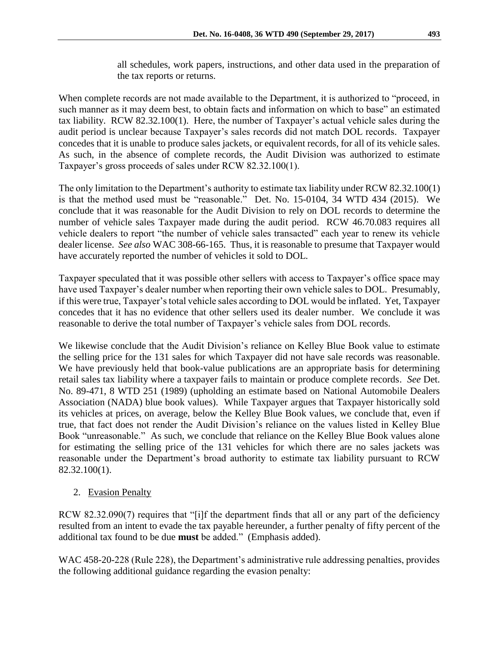all schedules, work papers, instructions, and other data used in the preparation of the tax reports or returns.

When complete records are not made available to the Department, it is authorized to "proceed, in such manner as it may deem best, to obtain facts and information on which to base" an estimated tax liability. RCW 82.32.100(1). Here, the number of Taxpayer's actual vehicle sales during the audit period is unclear because Taxpayer's sales records did not match DOL records. Taxpayer concedes that it is unable to produce sales jackets, or equivalent records, for all of its vehicle sales. As such, in the absence of complete records, the Audit Division was authorized to estimate Taxpayer's gross proceeds of sales under RCW 82.32.100(1).

The only limitation to the Department's authority to estimate tax liability under RCW 82.32.100(1) is that the method used must be "reasonable." Det. No. 15-0104, 34 WTD 434 (2015). We conclude that it was reasonable for the Audit Division to rely on DOL records to determine the number of vehicle sales Taxpayer made during the audit period. RCW 46.70.083 requires all vehicle dealers to report "the number of vehicle sales transacted" each year to renew its vehicle dealer license. *See also* WAC 308-66-165. Thus, it is reasonable to presume that Taxpayer would have accurately reported the number of vehicles it sold to DOL.

Taxpayer speculated that it was possible other sellers with access to Taxpayer's office space may have used Taxpayer's dealer number when reporting their own vehicle sales to DOL. Presumably, if this were true, Taxpayer's total vehicle sales according to DOL would be inflated. Yet, Taxpayer concedes that it has no evidence that other sellers used its dealer number. We conclude it was reasonable to derive the total number of Taxpayer's vehicle sales from DOL records.

We likewise conclude that the Audit Division's reliance on Kelley Blue Book value to estimate the selling price for the 131 sales for which Taxpayer did not have sale records was reasonable. We have previously held that book-value publications are an appropriate basis for determining retail sales tax liability where a taxpayer fails to maintain or produce complete records. *See* Det. No. 89-471, 8 WTD 251 (1989) (upholding an estimate based on National Automobile Dealers Association (NADA) blue book values). While Taxpayer argues that Taxpayer historically sold its vehicles at prices, on average, below the Kelley Blue Book values, we conclude that, even if true, that fact does not render the Audit Division's reliance on the values listed in Kelley Blue Book "unreasonable." As such, we conclude that reliance on the Kelley Blue Book values alone for estimating the selling price of the 131 vehicles for which there are no sales jackets was reasonable under the Department's broad authority to estimate tax liability pursuant to RCW 82.32.100(1).

# 2. Evasion Penalty

RCW 82.32.090(7) requires that "[i]f the department finds that all or any part of the deficiency resulted from an intent to evade the tax payable hereunder, a further penalty of fifty percent of the additional tax found to be due **must** be added." (Emphasis added).

WAC 458-20-228 (Rule 228), the Department's administrative rule addressing penalties, provides the following additional guidance regarding the evasion penalty: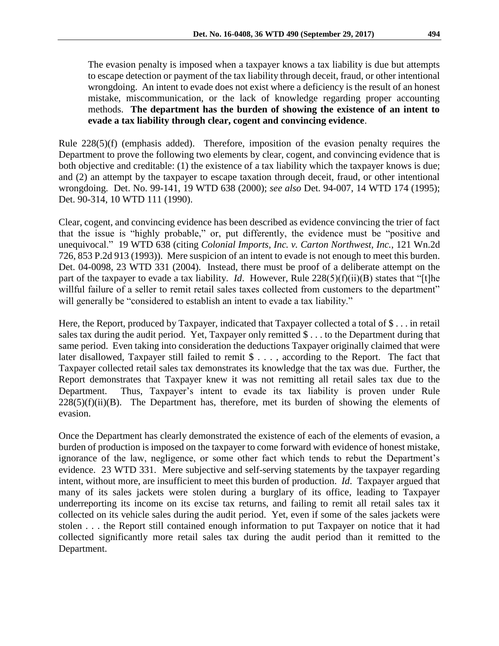The evasion penalty is imposed when a taxpayer knows a tax liability is due but attempts to escape detection or payment of the tax liability through deceit, fraud, or other intentional wrongdoing. An intent to evade does not exist where a deficiency is the result of an honest mistake, miscommunication, or the lack of knowledge regarding proper accounting methods. **The department has the burden of showing the existence of an intent to evade a tax liability through clear, cogent and convincing evidence**.

Rule 228(5)(f) (emphasis added). Therefore, imposition of the evasion penalty requires the Department to prove the following two elements by clear, cogent, and convincing evidence that is both objective and creditable: (1) the existence of a tax liability which the taxpayer knows is due; and (2) an attempt by the taxpayer to escape taxation through deceit, fraud, or other intentional wrongdoing. Det. No. 99-141, 19 WTD 638 (2000); *see also* Det. 94-007, 14 WTD 174 (1995); Det. 90-314, 10 WTD 111 (1990).

Clear, cogent, and convincing evidence has been described as evidence convincing the trier of fact that the issue is "highly probable," or, put differently, the evidence must be "positive and unequivocal." 19 WTD 638 (citing *Colonial Imports, Inc. v. Carton Northwest, Inc.*, 121 Wn.2d 726, 853 P.2d 913 (1993)). Mere suspicion of an intent to evade is not enough to meet this burden. Det. 04-0098, 23 WTD 331 (2004). Instead, there must be proof of a deliberate attempt on the part of the taxpayer to evade a tax liability. *Id*. However, Rule 228(5)(f)(ii)(B) states that "[t]he willful failure of a seller to remit retail sales taxes collected from customers to the department" will generally be "considered to establish an intent to evade a tax liability."

Here, the Report, produced by Taxpayer, indicated that Taxpayer collected a total of \$ . . . in retail sales tax during the audit period. Yet, Taxpayer only remitted \$ . . . to the Department during that same period. Even taking into consideration the deductions Taxpayer originally claimed that were later disallowed, Taxpayer still failed to remit \$ . . . , according to the Report. The fact that Taxpayer collected retail sales tax demonstrates its knowledge that the tax was due. Further, the Report demonstrates that Taxpayer knew it was not remitting all retail sales tax due to the Department. Thus, Taxpayer's intent to evade its tax liability is proven under Rule  $228(5)(f)(ii)(B)$ . The Department has, therefore, met its burden of showing the elements of evasion.

Once the Department has clearly demonstrated the existence of each of the elements of evasion, a burden of production is imposed on the taxpayer to come forward with evidence of honest mistake, ignorance of the law, negligence, or some other fact which tends to rebut the Department's evidence. 23 WTD 331. Mere subjective and self-serving statements by the taxpayer regarding intent, without more, are insufficient to meet this burden of production. *Id*. Taxpayer argued that many of its sales jackets were stolen during a burglary of its office, leading to Taxpayer underreporting its income on its excise tax returns, and failing to remit all retail sales tax it collected on its vehicle sales during the audit period. Yet, even if some of the sales jackets were stolen . . . the Report still contained enough information to put Taxpayer on notice that it had collected significantly more retail sales tax during the audit period than it remitted to the Department.